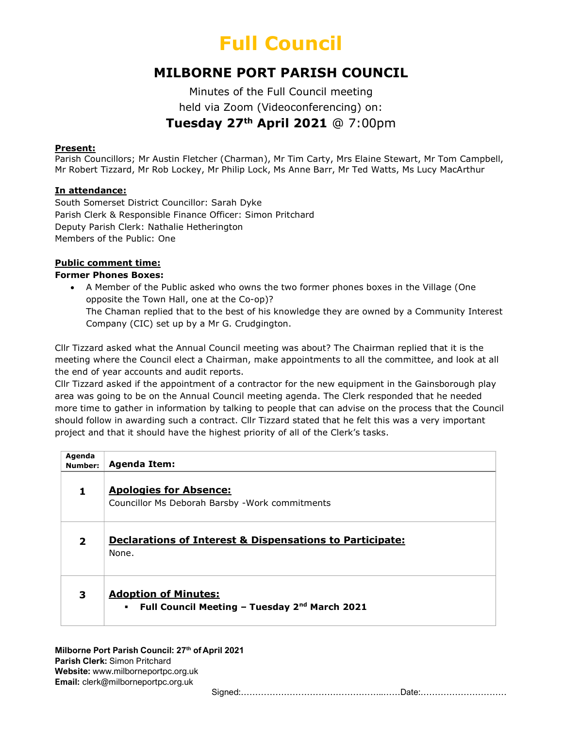### MILBORNE PORT PARISH COUNCIL

Minutes of the Full Council meeting held via Zoom (Videoconferencing) on: Tuesday 27th April 2021 @ 7:00pm

#### Present:

Parish Councillors; Mr Austin Fletcher (Charman), Mr Tim Carty, Mrs Elaine Stewart, Mr Tom Campbell, Mr Robert Tizzard, Mr Rob Lockey, Mr Philip Lock, Ms Anne Barr, Mr Ted Watts, Ms Lucy MacArthur

#### In attendance:

South Somerset District Councillor: Sarah Dyke Parish Clerk & Responsible Finance Officer: Simon Pritchard Deputy Parish Clerk: Nathalie Hetherington Members of the Public: One

#### Public comment time:

#### Former Phones Boxes:

 A Member of the Public asked who owns the two former phones boxes in the Village (One opposite the Town Hall, one at the Co-op)? The Chaman replied that to the best of his knowledge they are owned by a Community Interest Company (CIC) set up by a Mr G. Crudgington.

Cllr Tizzard asked what the Annual Council meeting was about? The Chairman replied that it is the meeting where the Council elect a Chairman, make appointments to all the committee, and look at all the end of year accounts and audit reports.

Cllr Tizzard asked if the appointment of a contractor for the new equipment in the Gainsborough play area was going to be on the Annual Council meeting agenda. The Clerk responded that he needed more time to gather in information by talking to people that can advise on the process that the Council should follow in awarding such a contract. Cllr Tizzard stated that he felt this was a very important project and that it should have the highest priority of all of the Clerk's tasks.

| Agenda<br>Number:        | <b>Agenda Item:</b>                                                                                |
|--------------------------|----------------------------------------------------------------------------------------------------|
|                          | <b>Apologies for Absence:</b><br>Councillor Ms Deborah Barsby - Work commitments                   |
| $\overline{\phantom{a}}$ | <b>Declarations of Interest &amp; Dispensations to Participate:</b><br>None.                       |
| 3                        | <b>Adoption of Minutes:</b><br>Full Council Meeting - Tuesday 2 <sup>nd</sup> March 2021<br>$\sim$ |

Milborne Port Parish Council: 27<sup>th</sup> of April 2021 Parish Clerk: Simon Pritchard Website: www.milborneportpc.org.uk Email: clerk@milborneportpc.org.uk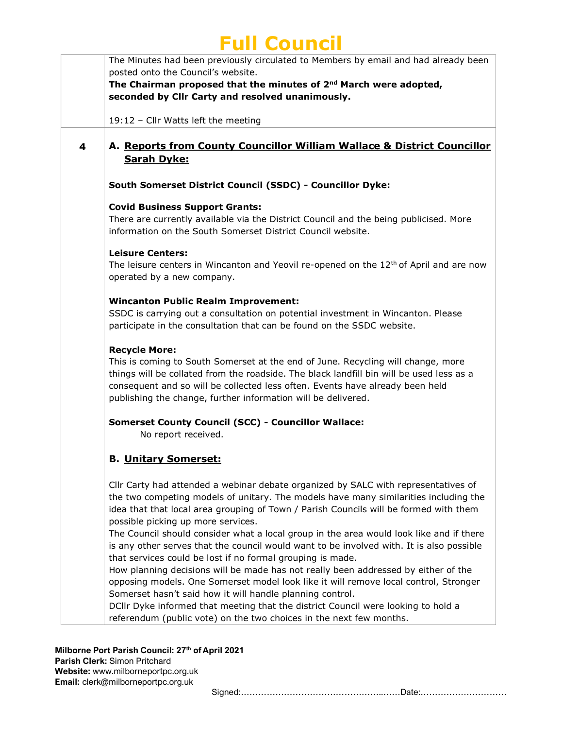The Minutes had been previously circulated to Members by email and had already been posted onto the Council's website.

The Chairman proposed that the minutes of  $2^{nd}$  March were adopted, seconded by Cllr Carty and resolved unanimously.

19:12 – Cllr Watts left the meeting

### 4 A. Reports from County Councillor William Wallace & District Councillor Sarah Dyke:

#### South Somerset District Council (SSDC) - Councillor Dyke:

#### Covid Business Support Grants:

There are currently available via the District Council and the being publicised. More information on the South Somerset District Council website.

#### Leisure Centers:

The leisure centers in Wincanton and Yeovil re-opened on the  $12<sup>th</sup>$  of April and are now operated by a new company.

#### Wincanton Public Realm Improvement:

SSDC is carrying out a consultation on potential investment in Wincanton. Please participate in the consultation that can be found on the SSDC website.

#### Recycle More:

This is coming to South Somerset at the end of June. Recycling will change, more things will be collated from the roadside. The black landfill bin will be used less as a consequent and so will be collected less often. Events have already been held publishing the change, further information will be delivered.

#### Somerset County Council (SCC) - Councillor Wallace:

No report received.

### B. Unitary Somerset:

Cllr Carty had attended a webinar debate organized by SALC with representatives of the two competing models of unitary. The models have many similarities including the idea that that local area grouping of Town / Parish Councils will be formed with them possible picking up more services.

The Council should consider what a local group in the area would look like and if there is any other serves that the council would want to be involved with. It is also possible that services could be lost if no formal grouping is made.

How planning decisions will be made has not really been addressed by either of the opposing models. One Somerset model look like it will remove local control, Stronger Somerset hasn't said how it will handle planning control.

DCllr Dyke informed that meeting that the district Council were looking to hold a referendum (public vote) on the two choices in the next few months.

Milborne Port Parish Council: 27<sup>th</sup> of April 2021

Parish Clerk: Simon Pritchard Website: www.milborneportpc.org.uk Email: clerk@milborneportpc.org.uk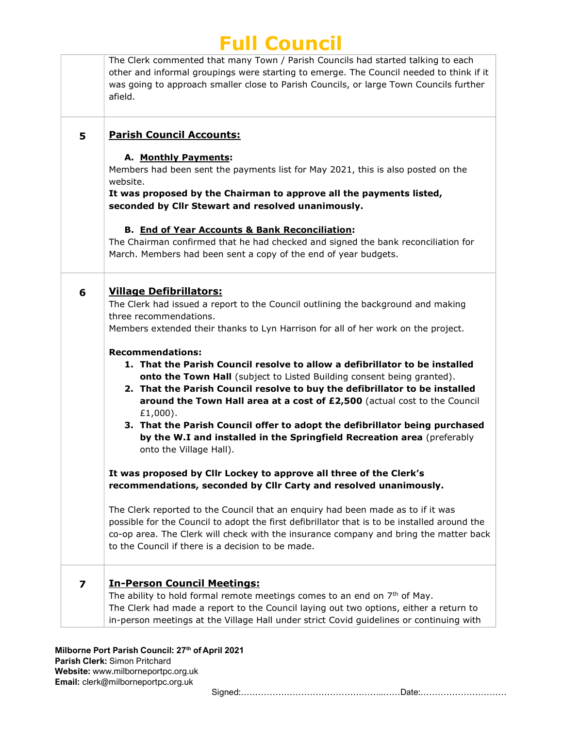|                         | The Clerk commented that many Town / Parish Councils had started talking to each<br>other and informal groupings were starting to emerge. The Council needed to think if it<br>was going to approach smaller close to Parish Councils, or large Town Councils further<br>afield.                                                                                                                                                                                                                                                                                                                                                                                                                                                                                                   |
|-------------------------|------------------------------------------------------------------------------------------------------------------------------------------------------------------------------------------------------------------------------------------------------------------------------------------------------------------------------------------------------------------------------------------------------------------------------------------------------------------------------------------------------------------------------------------------------------------------------------------------------------------------------------------------------------------------------------------------------------------------------------------------------------------------------------|
| 5                       | <b>Parish Council Accounts:</b><br>A. Monthly Payments:<br>Members had been sent the payments list for May 2021, this is also posted on the<br>website.<br>It was proposed by the Chairman to approve all the payments listed,<br>seconded by Cllr Stewart and resolved unanimously.<br><b>B. End of Year Accounts &amp; Bank Reconciliation:</b>                                                                                                                                                                                                                                                                                                                                                                                                                                  |
|                         | The Chairman confirmed that he had checked and signed the bank reconciliation for<br>March. Members had been sent a copy of the end of year budgets.                                                                                                                                                                                                                                                                                                                                                                                                                                                                                                                                                                                                                               |
| 6                       | <b>Village Defibrillators:</b><br>The Clerk had issued a report to the Council outlining the background and making<br>three recommendations.<br>Members extended their thanks to Lyn Harrison for all of her work on the project.<br><b>Recommendations:</b><br>1. That the Parish Council resolve to allow a defibrillator to be installed<br>onto the Town Hall (subject to Listed Building consent being granted).<br>2. That the Parish Council resolve to buy the defibrillator to be installed<br>around the Town Hall area at a cost of £2,500 (actual cost to the Council<br>£1,000).<br>3. That the Parish Council offer to adopt the defibrillator being purchased<br>by the W.I and installed in the Springfield Recreation area (preferably<br>onto the Village Hall). |
|                         | It was proposed by Cllr Lockey to approve all three of the Clerk's<br>recommendations, seconded by Cllr Carty and resolved unanimously.                                                                                                                                                                                                                                                                                                                                                                                                                                                                                                                                                                                                                                            |
|                         | The Clerk reported to the Council that an enquiry had been made as to if it was<br>possible for the Council to adopt the first defibrillator that is to be installed around the<br>co-op area. The Clerk will check with the insurance company and bring the matter back<br>to the Council if there is a decision to be made.                                                                                                                                                                                                                                                                                                                                                                                                                                                      |
| $\overline{\mathbf{z}}$ | <b>In-Person Council Meetings:</b><br>The ability to hold formal remote meetings comes to an end on $7th$ of May.<br>The Clerk had made a report to the Council laying out two options, either a return to<br>in-person meetings at the Village Hall under strict Covid guidelines or continuing with                                                                                                                                                                                                                                                                                                                                                                                                                                                                              |

Milborne Port Parish Council: 27<sup>th</sup> of April 2021 Parish Clerk: Simon Pritchard Website: www.milborneportpc.org.uk Email: clerk@milborneportpc.org.uk